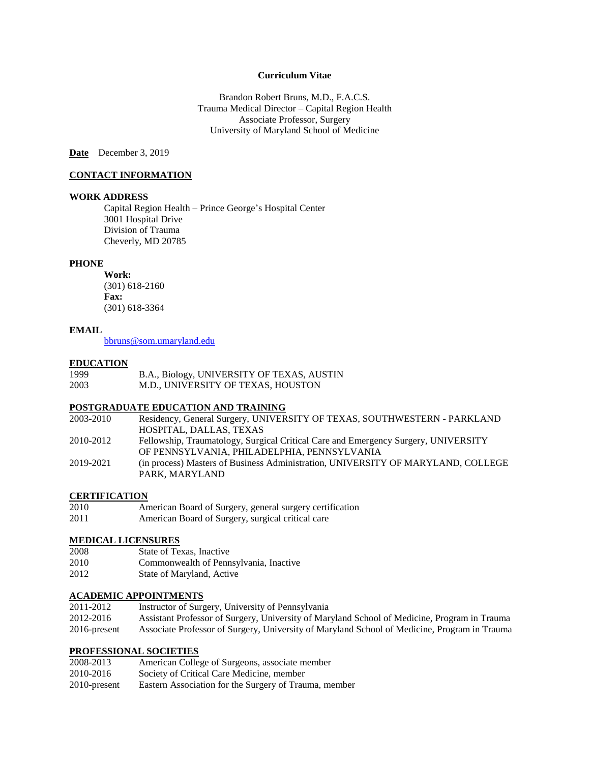# **Curriculum Vitae**

Brandon Robert Bruns, M.D., F.A.C.S. Trauma Medical Director – Capital Region Health Associate Professor, Surgery University of Maryland School of Medicine

**Date** December 3, 2019

### **CONTACT INFORMATION**

#### **WORK ADDRESS**

Capital Region Health – Prince George's Hospital Center 3001 Hospital Drive Division of Trauma Cheverly, MD 20785

#### **PHONE**

**Work:**  (301) 618-2160 **Fax:** (301) 618-3364

#### **EMAIL**

[bbruns@som.umaryland.edu](mailto:bbruns@som.umaryland.edu)

#### **EDUCATION**

| 1999 | B.A., Biology, UNIVERSITY OF TEXAS, AUSTIN |
|------|--------------------------------------------|
| 2003 | M.D., UNIVERSITY OF TEXAS, HOUSTON         |

## **POSTGRADUATE EDUCATION AND TRAINING**

| 2003-2010 | Residency, General Surgery, UNIVERSITY OF TEXAS, SOUTHWESTERN - PARKLAND                           |
|-----------|----------------------------------------------------------------------------------------------------|
|           | HOSPITAL, DALLAS, TEXAS                                                                            |
| 2010-2012 | Fellowship, Traumatology, Surgical Critical Care and Emergency Surgery, UNIVERSITY                 |
|           | OF PENNSYLVANIA. PHILADELPHIA. PENNSYLVANIA                                                        |
| 2019-2021 | (in process) Masters of Business Administration, UNIVERSITY OF MARYLAND, COLLEGE<br>PARK. MARYLAND |
|           |                                                                                                    |

# **CERTIFICATION**

- 2010 American Board of Surgery, general surgery certification
- 2011 American Board of Surgery, surgical critical care

# **MEDICAL LICENSURES**

- 2008 State of Texas, Inactive
- 2010 Commonwealth of Pennsylvania, Inactive
- 2012 State of Maryland, Active

# **ACADEMIC APPOINTMENTS**<br>2011-2012 **Instructor of Surg**

Instructor of Surgery, University of Pennsylvania 2012-2016 Assistant Professor of Surgery, University of Maryland School of Medicine, Program in Trauma 2016-present Associate Professor of Surgery, University of Maryland School of Medicine, Program in Trauma

#### **PROFESSIONAL SOCIETIES**

| 2008-2013       | American College of Surgeons, associate member        |
|-----------------|-------------------------------------------------------|
| 2010-2016       | Society of Critical Care Medicine, member             |
| $2010$ -present | Eastern Association for the Surgery of Trauma, member |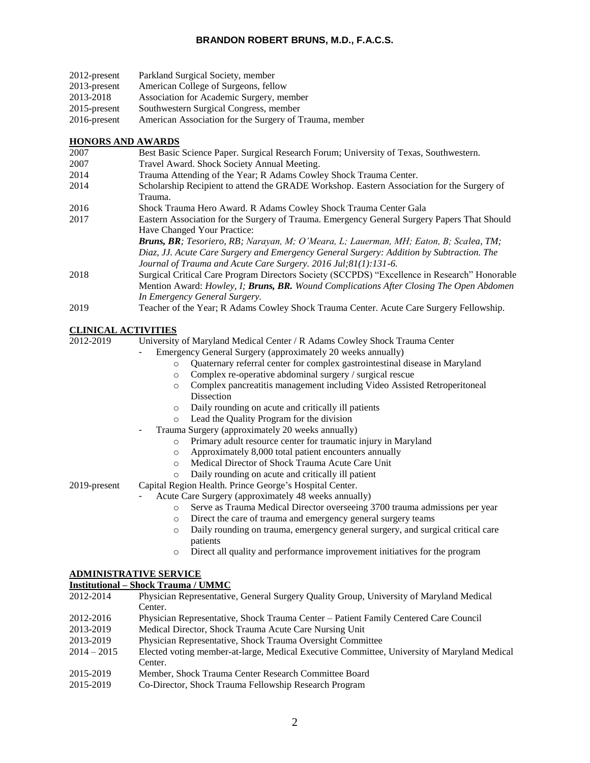| $2012$ -present | Parkland Surgical Society, member                      |
|-----------------|--------------------------------------------------------|
| $2013$ -present | American College of Surgeons, fellow                   |
| 2013-2018       | Association for Academic Surgery, member               |
| 2015-present    | Southwestern Surgical Congress, member                 |
| 2016-present    | American Association for the Surgery of Trauma, member |

### **HONORS AND AWARDS**

| 2007 | Best Basic Science Paper. Surgical Research Forum; University of Texas, Southwestern.                                                                                                                                                                |
|------|------------------------------------------------------------------------------------------------------------------------------------------------------------------------------------------------------------------------------------------------------|
| 2007 | Travel Award. Shock Society Annual Meeting.                                                                                                                                                                                                          |
| 2014 | Trauma Attending of the Year; R Adams Cowley Shock Trauma Center.                                                                                                                                                                                    |
| 2014 | Scholarship Recipient to attend the GRADE Workshop. Eastern Association for the Surgery of<br>Trauma.                                                                                                                                                |
| 2016 | Shock Trauma Hero Award. R Adams Cowley Shock Trauma Center Gala                                                                                                                                                                                     |
| 2017 | Eastern Association for the Surgery of Trauma. Emergency General Surgery Papers That Should<br>Have Changed Your Practice:                                                                                                                           |
|      | Bruns, BR; Tesoriero, RB; Narayan, M; O'Meara, L; Lauerman, MH; Eaton, B; Scalea, TM;<br>Diaz, JJ. Acute Care Surgery and Emergency General Surgery: Addition by Subtraction. The<br>Journal of Trauma and Acute Care Surgery. 2016 Jul;81(1):131-6. |
| 2018 | Surgical Critical Care Program Directors Society (SCCPDS) "Excellence in Research" Honorable<br>Mention Award: Howley, I; Bruns, BR. Wound Complications After Closing The Open Abdomen<br>In Emergency General Surgery.                             |
| 2019 | Teacher of the Year; R Adams Cowley Shock Trauma Center. Acute Care Surgery Fellowship.                                                                                                                                                              |

# **CLINICAL ACTIVITIES**

2012-2019 University of Maryland Medical Center / R Adams Cowley Shock Trauma Center

- Emergency General Surgery (approximately 20 weeks annually)
	- o Quaternary referral center for complex gastrointestinal disease in Maryland
	- o Complex re-operative abdominal surgery / surgical rescue
	- o Complex pancreatitis management including Video Assisted Retroperitoneal **Dissection**
	- o Daily rounding on acute and critically ill patients
	- o Lead the Quality Program for the division
- Trauma Surgery (approximately 20 weeks annually)
	- o Primary adult resource center for traumatic injury in Maryland
	- o Approximately 8,000 total patient encounters annually
	- o Medical Director of Shock Trauma Acute Care Unit
	- o Daily rounding on acute and critically ill patient

2019-present Capital Region Health. Prince George's Hospital Center.

- Acute Care Surgery (approximately 48 weeks annually)
	- o Serve as Trauma Medical Director overseeing 3700 trauma admissions per year
	- o Direct the care of trauma and emergency general surgery teams
	- o Daily rounding on trauma, emergency general surgery, and surgical critical care patients
	- o Direct all quality and performance improvement initiatives for the program

# **ADMINISTRATIVE SERVICE**

**Institutional – Shock Trauma / UMMC**

| 2012-2014 | Physician Representative, General Surgery Quality Group, University of Maryland Medical |
|-----------|-----------------------------------------------------------------------------------------|
|           | Center.                                                                                 |

- 2012-2016 Physician Representative, Shock Trauma Center Patient Family Centered Care Council
- 2013-2019 Medical Director, Shock Trauma Acute Care Nursing Unit
- 2013-2019 Physician Representative, Shock Trauma Oversight Committee
- 2014 2015 Elected voting member-at-large, Medical Executive Committee, University of Maryland Medical Center.
- 2015-2019 Member, Shock Trauma Center Research Committee Board
- 2015-2019 Co-Director, Shock Trauma Fellowship Research Program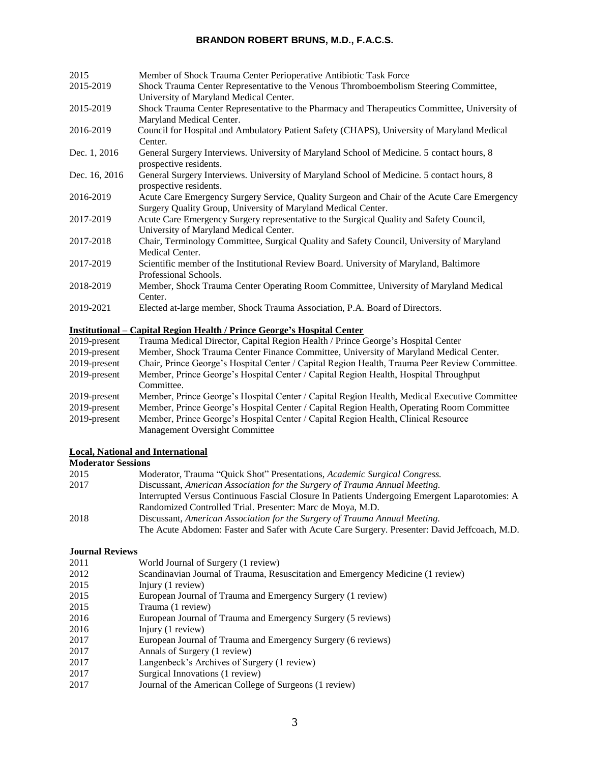| 2015          | Member of Shock Trauma Center Perioperative Antibiotic Task Force                                                                                            |
|---------------|--------------------------------------------------------------------------------------------------------------------------------------------------------------|
| 2015-2019     | Shock Trauma Center Representative to the Venous Thromboembolism Steering Committee,<br>University of Maryland Medical Center.                               |
| 2015-2019     | Shock Trauma Center Representative to the Pharmacy and Therapeutics Committee, University of<br>Maryland Medical Center.                                     |
| 2016-2019     | Council for Hospital and Ambulatory Patient Safety (CHAPS), University of Maryland Medical<br>Center.                                                        |
| Dec. 1, 2016  | General Surgery Interviews. University of Maryland School of Medicine. 5 contact hours, 8<br>prospective residents.                                          |
| Dec. 16, 2016 | General Surgery Interviews. University of Maryland School of Medicine. 5 contact hours, 8<br>prospective residents.                                          |
| 2016-2019     | Acute Care Emergency Surgery Service, Quality Surgeon and Chair of the Acute Care Emergency<br>Surgery Quality Group, University of Maryland Medical Center. |
| 2017-2019     | Acute Care Emergency Surgery representative to the Surgical Quality and Safety Council,<br>University of Maryland Medical Center.                            |
| 2017-2018     | Chair, Terminology Committee, Surgical Quality and Safety Council, University of Maryland<br>Medical Center.                                                 |
| 2017-2019     | Scientific member of the Institutional Review Board. University of Maryland, Baltimore<br>Professional Schools.                                              |
| 2018-2019     | Member, Shock Trauma Center Operating Room Committee, University of Maryland Medical<br>Center.                                                              |
| 2019-2021     | Elected at-large member, Shock Trauma Association, P.A. Board of Directors.                                                                                  |

# **Institutional – Capital Region Health / Prince George's Hospital Center**

| 2019-present    | Trauma Medical Director, Capital Region Health / Prince George's Hospital Center              |
|-----------------|-----------------------------------------------------------------------------------------------|
| $2019$ -present | Member, Shock Trauma Center Finance Committee, University of Maryland Medical Center.         |
| $2019$ -present | Chair, Prince George's Hospital Center / Capital Region Health, Trauma Peer Review Committee. |
| $2019$ -present | Member, Prince George's Hospital Center / Capital Region Health, Hospital Throughput          |
|                 | Committee.                                                                                    |
| 2019-present    | Member, Prince George's Hospital Center / Capital Region Health, Medical Executive Committee  |
| 2019-present    | Member, Prince George's Hospital Center / Capital Region Health, Operating Room Committee     |
| 2019-present    | Member, Prince George's Hospital Center / Capital Region Health, Clinical Resource            |
|                 | Management Oversight Committee                                                                |

# **Local, National and International**

# **Moderator Sessions**

| 2015 | Moderator, Trauma "Quick Shot" Presentations, Academic Surgical Congress.                     |
|------|-----------------------------------------------------------------------------------------------|
| 2017 | Discussant, American Association for the Surgery of Trauma Annual Meeting.                    |
|      | Interrupted Versus Continuous Fascial Closure In Patients Undergoing Emergent Laparotomies: A |
|      | Randomized Controlled Trial. Presenter: Marc de Moya, M.D.                                    |
| 2018 | Discussant, American Association for the Surgery of Trauma Annual Meeting.                    |
|      | The Acute Abdomen: Faster and Safer with Acute Care Surgery. Presenter: David Jeffcoach, M.D. |

# **Journal Reviews**

- 2011 **World Journal of Surgery (1 review)**<br>2012 **Scandinavian Journal of Trauma, Res**
- Scandinavian Journal of Trauma, Resuscitation and Emergency Medicine (1 review)
- 2015 Injury (1 review)
- 2015 European Journal of Trauma and Emergency Surgery (1 review)
- 2015 Trauma (1 review)
- 2016 European Journal of Trauma and Emergency Surgery (5 reviews)
- 2016 Injury (1 review)
- 2017 European Journal of Trauma and Emergency Surgery (6 reviews)
- 2017 **Annals of Surgery (1 review)**<br>2017 **Langenbeck's Archives of Surger**
- 2017 Langenbeck's Archives of Surgery (1 review)<br>2017 Surgical Innovations (1 review)
- Surgical Innovations  $(1$  review)
- 2017 Journal of the American College of Surgeons (1 review)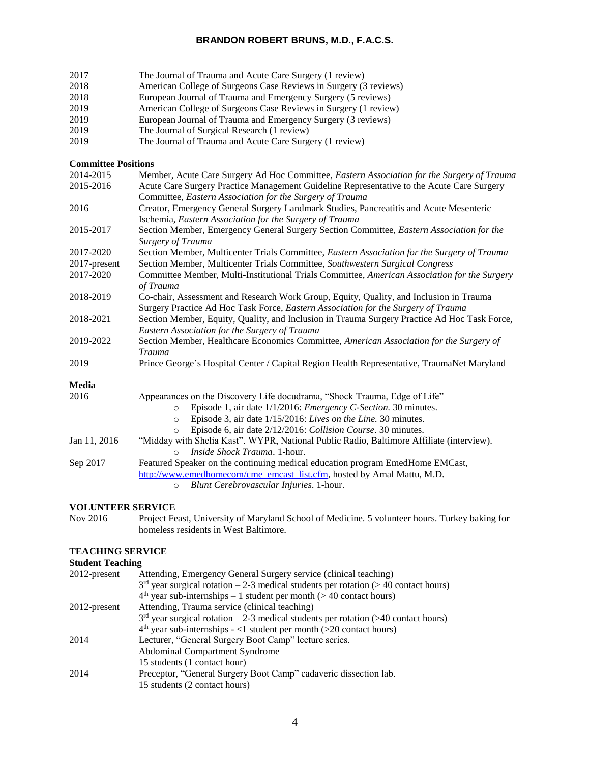| 2017                       | The Journal of Trauma and Acute Care Surgery (1 review)                                                                                                                            |
|----------------------------|------------------------------------------------------------------------------------------------------------------------------------------------------------------------------------|
| 2018                       | American College of Surgeons Case Reviews in Surgery (3 reviews)                                                                                                                   |
| 2018                       | European Journal of Trauma and Emergency Surgery (5 reviews)                                                                                                                       |
| 2019                       | American College of Surgeons Case Reviews in Surgery (1 review)                                                                                                                    |
| 2019                       | European Journal of Trauma and Emergency Surgery (3 reviews)                                                                                                                       |
| 2019                       | The Journal of Surgical Research (1 review)                                                                                                                                        |
| 2019                       | The Journal of Trauma and Acute Care Surgery (1 review)                                                                                                                            |
| <b>Committee Positions</b> |                                                                                                                                                                                    |
| 2014-2015                  | Member, Acute Care Surgery Ad Hoc Committee, Eastern Association for the Surgery of Trauma                                                                                         |
| 2015-2016                  | Acute Care Surgery Practice Management Guideline Representative to the Acute Care Surgery<br>Committee, Eastern Association for the Surgery of Trauma                              |
| 2016                       | Creator, Emergency General Surgery Landmark Studies, Pancreatitis and Acute Mesenteric<br>Ischemia, Eastern Association for the Surgery of Trauma                                  |
| 2015-2017                  | Section Member, Emergency General Surgery Section Committee, Eastern Association for the<br>Surgery of Trauma                                                                      |
| 2017-2020                  | Section Member, Multicenter Trials Committee, Eastern Association for the Surgery of Trauma                                                                                        |
| 2017-present               | Section Member, Multicenter Trials Committee, Southwestern Surgical Congress                                                                                                       |
| 2017-2020                  | Committee Member, Multi-Institutional Trials Committee, American Association for the Surgery<br>of Trauma                                                                          |
| 2018-2019                  | Co-chair, Assessment and Research Work Group, Equity, Quality, and Inclusion in Trauma<br>Surgery Practice Ad Hoc Task Force, <i>Eastern Association for the Surgery of Trauma</i> |
| 2018-2021                  | Section Member, Equity, Quality, and Inclusion in Trauma Surgery Practice Ad Hoc Task Force,<br>Eastern Association for the Surgery of Trauma                                      |
| 2019-2022                  | Section Member, Healthcare Economics Committee, American Association for the Surgery of<br><b>Trauma</b>                                                                           |
| 2019                       | Prince George's Hospital Center / Capital Region Health Representative, TraumaNet Maryland                                                                                         |
| Media                      |                                                                                                                                                                                    |
| 2016                       | Appearances on the Discovery Life docudrama, "Shock Trauma, Edge of Life"                                                                                                          |
|                            | Episode 1, air date 1/1/2016: <i>Emergency C-Section</i> . 30 minutes.<br>$\circ$                                                                                                  |
|                            | Episode 3, air date 1/15/2016: Lives on the Line. 30 minutes.<br>$\circ$                                                                                                           |
|                            | Episode 6, air date 2/12/2016: Collision Course. 30 minutes.<br>$\Omega$                                                                                                           |
| Jan 11, 2016               | "Midday with Shelia Kast". WYPR, National Public Radio, Baltimore Affiliate (interview).<br>Inside Shock Trauma. 1-hour.<br>$\Omega$                                               |
| Sep 2017                   | Featured Speaker on the continuing medical education program EmedHome EMCast,<br>http://www.emedhomecom/cme_emcast_list.cfm, hosted by Amal Mattu, M.D.                            |

# **VOLUNTEER SERVICE**<br>Nov 2016 Project Fe

Nov 2016 Project Feast, University of Maryland School of Medicine. 5 volunteer hours. Turkey baking for homeless residents in West Baltimore.

# **TEACHING SERVICE**

# **Student Teaching**

| 2012-present | Attending, Emergency General Surgery service (clinical teaching)                      |
|--------------|---------------------------------------------------------------------------------------|
|              | $3rd$ year surgical rotation – 2-3 medical students per rotation (> 40 contact hours) |
|              | $4th$ year sub-internships – 1 student per month (> 40 contact hours)                 |
| 2012-present | Attending, Trauma service (clinical teaching)                                         |
|              | $3rd$ year surgical rotation – 2-3 medical students per rotation (>40 contact hours)  |
|              | $4th$ year sub-internships $-$ <1 student per month (>20 contact hours)               |
| 2014         | Lecturer, "General Surgery Boot Camp" lecture series.                                 |
|              | Abdominal Compartment Syndrome                                                        |
|              | 15 students (1 contact hour)                                                          |
| 2014         | Preceptor, "General Surgery Boot Camp" cadaveric dissection lab.                      |
|              | 15 students (2 contact hours)                                                         |

o *Blunt Cerebrovascular Injuries*. 1-hour.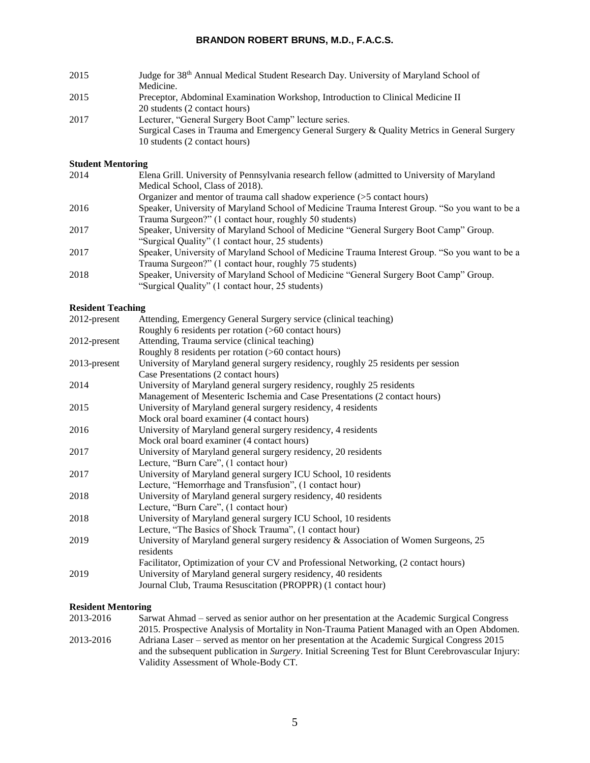- 2015 Judge for 38th Annual Medical Student Research Day. University of Maryland School of Medicine. 2015 Preceptor, Abdominal Examination Workshop, Introduction to Clinical Medicine II 20 students (2 contact hours) 2017 Lecturer, "General Surgery Boot Camp" lecture series.
- Surgical Cases in Trauma and Emergency General Surgery & Quality Metrics in General Surgery 10 students (2 contact hours)

# **Student Mentoring**

| 2014 | Elena Grill. University of Pennsylvania research fellow (admitted to University of Maryland    |
|------|------------------------------------------------------------------------------------------------|
|      | Medical School, Class of 2018).                                                                |
|      | Organizer and mentor of trauma call shadow experience $(5$ contact hours)                      |
| 2016 | Speaker, University of Maryland School of Medicine Trauma Interest Group. "So you want to be a |
|      | Trauma Surgeon?" (1 contact hour, roughly 50 students)                                         |
| 2017 | Speaker, University of Maryland School of Medicine "General Surgery Boot Camp" Group.          |
|      | "Surgical Quality" (1 contact hour, 25 students)                                               |
| 2017 | Speaker, University of Maryland School of Medicine Trauma Interest Group. "So you want to be a |
|      | Trauma Surgeon?" (1 contact hour, roughly 75 students)                                         |
| 2018 | Speaker, University of Maryland School of Medicine "General Surgery Boot Camp" Group.          |
|      | "Surgical Quality" (1 contact hour, 25 students)                                               |
|      |                                                                                                |

# **Resident Teaching**

| $2012$ -present | Attending, Emergency General Surgery service (clinical teaching)                     |
|-----------------|--------------------------------------------------------------------------------------|
|                 | Roughly 6 residents per rotation (>60 contact hours)                                 |
| 2012-present    | Attending, Trauma service (clinical teaching)                                        |
|                 | Roughly 8 residents per rotation (>60 contact hours)                                 |
| 2013-present    | University of Maryland general surgery residency, roughly 25 residents per session   |
|                 | Case Presentations (2 contact hours)                                                 |
| 2014            | University of Maryland general surgery residency, roughly 25 residents               |
|                 | Management of Mesenteric Ischemia and Case Presentations (2 contact hours)           |
| 2015            | University of Maryland general surgery residency, 4 residents                        |
|                 | Mock oral board examiner (4 contact hours)                                           |
| 2016            | University of Maryland general surgery residency, 4 residents                        |
|                 | Mock oral board examiner (4 contact hours)                                           |
| 2017            | University of Maryland general surgery residency, 20 residents                       |
|                 | Lecture, "Burn Care", (1 contact hour)                                               |
| 2017            | University of Maryland general surgery ICU School, 10 residents                      |
|                 | Lecture, "Hemorrhage and Transfusion", (1 contact hour)                              |
| 2018            | University of Maryland general surgery residency, 40 residents                       |
|                 | Lecture, "Burn Care", (1 contact hour)                                               |
| 2018            | University of Maryland general surgery ICU School, 10 residents                      |
|                 | Lecture, "The Basics of Shock Trauma", (1 contact hour)                              |
| 2019            | University of Maryland general surgery residency & Association of Women Surgeons, 25 |
|                 | residents                                                                            |
|                 | Facilitator, Optimization of your CV and Professional Networking, (2 contact hours)  |
| 2019            | University of Maryland general surgery residency, 40 residents                       |
|                 | Journal Club, Trauma Resuscitation (PROPPR) (1 contact hour)                         |

# **Resident Mentoring**

| 2013-2016 | Sarwat Ahmad – served as senior author on her presentation at the Academic Surgical Congress                |
|-----------|-------------------------------------------------------------------------------------------------------------|
|           | 2015. Prospective Analysis of Mortality in Non-Trauma Patient Managed with an Open Abdomen.                 |
| 2013-2016 | Adriana Laser – served as mentor on her presentation at the Academic Surgical Congress 2015                 |
|           | and the subsequent publication in <i>Surgery</i> . Initial Screening Test for Blunt Cerebrovascular Injury: |
|           | Validity Assessment of Whole-Body CT.                                                                       |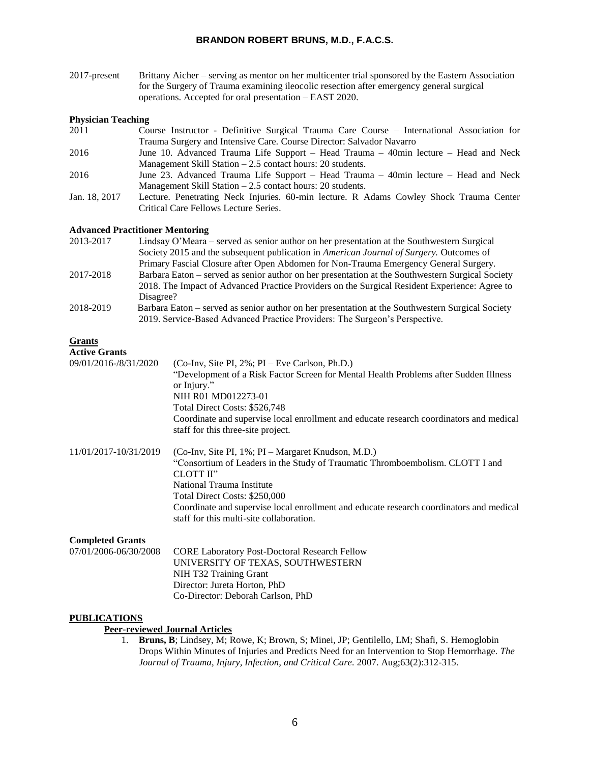| $2017$ -present | Brittany Aicher – serving as mentor on her multicenter trial sponsored by the Eastern Association |
|-----------------|---------------------------------------------------------------------------------------------------|
|                 | for the Surgery of Trauma examining ileocolic resection after emergency general surgical          |
|                 | operations. Accepted for oral presentation – EAST 2020.                                           |

#### **Physician Teaching**

| 2011          | Course Instructor - Definitive Surgical Trauma Care Course - International Association for |
|---------------|--------------------------------------------------------------------------------------------|
|               | Trauma Surgery and Intensive Care. Course Director: Salvador Navarro                       |
| 2016          | June 10. Advanced Trauma Life Support – Head Trauma – 40min lecture – Head and Neck        |
|               | Management Skill Station $-2.5$ contact hours: 20 students.                                |
| 2016          | June 23. Advanced Trauma Life Support – Head Trauma – 40min lecture – Head and Neck        |
|               | Management Skill Station $-2.5$ contact hours: 20 students.                                |
| Jan. 18, 2017 | Lecture. Penetrating Neck Injuries. 60-min lecture. R Adams Cowley Shock Trauma Center     |
|               | Critical Care Fellows Lecture Series.                                                      |
|               |                                                                                            |

## **Advanced Practitioner Mentoring**

| 2013-2017 | Lindsay O'Meara – served as senior author on her presentation at the Southwestern Surgical       |
|-----------|--------------------------------------------------------------------------------------------------|
|           | Society 2015 and the subsequent publication in American Journal of Surgery. Outcomes of          |
|           | Primary Fascial Closure after Open Abdomen for Non-Trauma Emergency General Surgery.             |
| 2017-2018 | Barbara Eaton – served as senior author on her presentation at the Southwestern Surgical Society |
|           | 2018. The Impact of Advanced Practice Providers on the Surgical Resident Experience: Agree to    |
|           | Disagree?                                                                                        |
| 2018-2019 | Barbara Eaton – served as senior author on her presentation at the Southwestern Surgical Society |
|           | 2019. Service-Based Advanced Practice Providers: The Surgeon's Perspective.                      |

#### **Grants**

# **Active Grants**

| mure grand                                       |                                                                                                                                                                                                                                                                                                                                                       |
|--------------------------------------------------|-------------------------------------------------------------------------------------------------------------------------------------------------------------------------------------------------------------------------------------------------------------------------------------------------------------------------------------------------------|
| 09/01/2016-/8/31/2020                            | $(Co-Inv, Site PI, 2\%; PI – Eve Carlson, Ph.D.)$<br>"Development of a Risk Factor Screen for Mental Health Problems after Sudden Illness<br>or Injury."<br>NIH R01 MD012273-01<br>Total Direct Costs: \$526,748<br>Coordinate and supervise local enrollment and educate research coordinators and medical<br>staff for this three-site project.     |
| 11/01/2017-10/31/2019                            | (Co-Inv, Site PI, 1%; PI – Margaret Knudson, M.D.)<br>"Consortium of Leaders in the Study of Traumatic Thromboembolism. CLOTT I and<br>CLOTT II"<br>National Trauma Institute<br>Total Direct Costs: \$250,000<br>Coordinate and supervise local enrollment and educate research coordinators and medical<br>staff for this multi-site collaboration. |
| <b>Completed Grants</b><br>07/01/2006-06/30/2008 | <b>CORE Laboratory Post-Doctoral Research Fellow</b>                                                                                                                                                                                                                                                                                                  |

# UNIVERSITY OF TEXAS, SOUTHWESTERN NIH T32 Training Grant Director: Jureta Horton, PhD Co-Director: Deborah Carlson, PhD

#### **PUBLICATIONS**

# **Peer-reviewed Journal Articles**

1. **Bruns, B**; Lindsey, M; Rowe, K; Brown, S; Minei, JP; Gentilello, LM; Shafi, S*.* Hemoglobin Drops Within Minutes of Injuries and Predicts Need for an Intervention to Stop Hemorrhage. *The Journal of Trauma, Injury, Infection, and Critical Care.* 2007. Aug;63(2):312-315.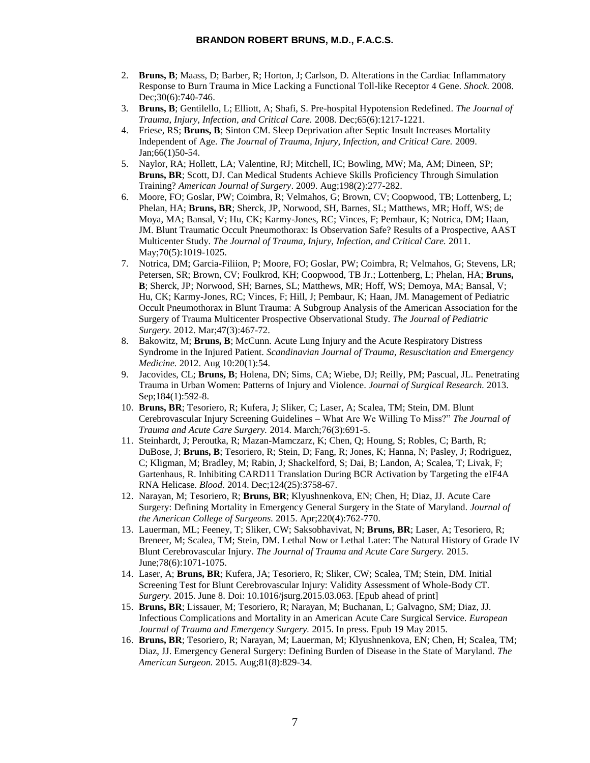- 2. **Bruns, B**; Maass, D; Barber, R; Horton, J; Carlson, D. Alterations in the Cardiac Inflammatory Response to Burn Trauma in Mice Lacking a Functional Toll-like Receptor 4 Gene. *Shock.* 2008. Dec: 30(6): 740-746.
- 3. **Bruns, B**; Gentilello, L; Elliott, A; Shafi, S. Pre-hospital Hypotension Redefined. *The Journal of Trauma, Injury, Infection, and Critical Care.* 2008. Dec;65(6):1217-1221.
- 4. Friese, RS; **Bruns, B**; Sinton CM. Sleep Deprivation after Septic Insult Increases Mortality Independent of Age. *The Journal of Trauma, Injury, Infection, and Critical Care.* 2009. Jan;66(1)50-54.
- 5. Naylor, RA; Hollett, LA; Valentine, RJ; Mitchell, IC; Bowling, MW; Ma, AM; Dineen, SP; **Bruns, BR**; Scott, DJ. Can Medical Students Achieve Skills Proficiency Through Simulation Training? *American Journal of Surgery*. 2009. Aug;198(2):277-282.
- 6. Moore, FO; Goslar, PW; Coimbra, R; Velmahos, G; Brown, CV; Coopwood, TB; Lottenberg, L; Phelan, HA; **Bruns, BR**; Sherck, JP, Norwood, SH, Barnes, SL; Matthews, MR; Hoff, WS; de Moya, MA; Bansal, V; Hu, CK; Karmy-Jones, RC; Vinces, F; Pembaur, K; Notrica, DM; Haan, JM. Blunt Traumatic Occult Pneumothorax: Is Observation Safe? Results of a Prospective, AAST Multicenter Study. *The Journal of Trauma, Injury, Infection, and Critical Care.* 2011. May; 70(5): 1019-1025.
- 7. Notrica, DM; Garcia-Filiion, P; Moore, FO; Goslar, PW; Coimbra, R; Velmahos, G; Stevens, LR; Petersen, SR; Brown, CV; Foulkrod, KH; Coopwood, TB Jr.; Lottenberg, L; Phelan, HA; **Bruns, B**; Sherck, JP; Norwood, SH; Barnes, SL; Matthews, MR; Hoff, WS; Demoya, MA; Bansal, V; Hu, CK; Karmy-Jones, RC; Vinces, F; Hill, J; Pembaur, K; Haan, JM. Management of Pediatric Occult Pneumothorax in Blunt Trauma: A Subgroup Analysis of the American Association for the Surgery of Trauma Multicenter Prospective Observational Study. *The Journal of Pediatric Surgery.* 2012. Mar;47(3):467-72.
- 8. Bakowitz, M; **Bruns, B**; McCunn. Acute Lung Injury and the Acute Respiratory Distress Syndrome in the Injured Patient. *Scandinavian Journal of Trauma, Resuscitation and Emergency Medicine.* 2012. Aug 10:20(1):54.
- 9. Jacovides, CL; **Bruns, B**; Holena, DN; Sims, CA; Wiebe, DJ; Reilly, PM; Pascual, JL. Penetrating Trauma in Urban Women: Patterns of Injury and Violence. *Journal of Surgical Research.* 2013. Sep;184(1):592-8.
- 10. **Bruns, BR**; Tesoriero, R; Kufera, J; Sliker, C; Laser, A; Scalea, TM; Stein, DM. Blunt Cerebrovascular Injury Screening Guidelines – What Are We Willing To Miss?" *The Journal of Trauma and Acute Care Surgery.* 2014. March;76(3):691-5.
- 11. Steinhardt, J; Peroutka, R; Mazan-Mamczarz, K; Chen, Q; Houng, S; Robles, C; Barth, R; DuBose, J; **Bruns, B**; Tesoriero, R; Stein, D; Fang, R; Jones, K; Hanna, N; Pasley, J; Rodriguez, C; Kligman, M; Bradley, M; Rabin, J; Shackelford, S; Dai, B; Landon, A; Scalea, T; Livak, F; Gartenhaus, R. Inhibiting CARD11 Translation During BCR Activation by Targeting the eIF4A RNA Helicase. *Blood.* 2014. Dec;124(25):3758-67.
- 12. Narayan, M; Tesoriero, R; **Bruns, BR**; Klyushnenkova, EN; Chen, H; Diaz, JJ. Acute Care Surgery: Defining Mortality in Emergency General Surgery in the State of Maryland. *Journal of the American College of Surgeons.* 2015. Apr;220(4):762-770.
- 13. Lauerman, ML; Feeney, T; Sliker, CW; Saksobhavivat, N; **Bruns, BR**; Laser, A; Tesoriero, R; Breneer, M; Scalea, TM; Stein, DM. Lethal Now or Lethal Later: The Natural History of Grade IV Blunt Cerebrovascular Injury. *The Journal of Trauma and Acute Care Surgery.* 2015. June;78(6):1071-1075.
- 14. Laser, A; **Bruns, BR**; Kufera, JA; Tesoriero, R; Sliker, CW; Scalea, TM; Stein, DM. Initial Screening Test for Blunt Cerebrovascular Injury: Validity Assessment of Whole-Body CT. *Surgery.* 2015. June 8. Doi: 10.1016/jsurg.2015.03.063. [Epub ahead of print]
- 15. **Bruns, BR**; Lissauer, M; Tesoriero, R; Narayan, M; Buchanan, L; Galvagno, SM; Diaz, JJ. Infectious Complications and Mortality in an American Acute Care Surgical Service. *European Journal of Trauma and Emergency Surgery.* 2015. In press. Epub 19 May 2015.
- 16. **Bruns, BR**; Tesoriero, R; Narayan, M; Lauerman, M; Klyushnenkova, EN; Chen, H; Scalea, TM; Diaz, JJ. Emergency General Surgery: Defining Burden of Disease in the State of Maryland. *The American Surgeon.* 2015. Aug;81(8):829-34.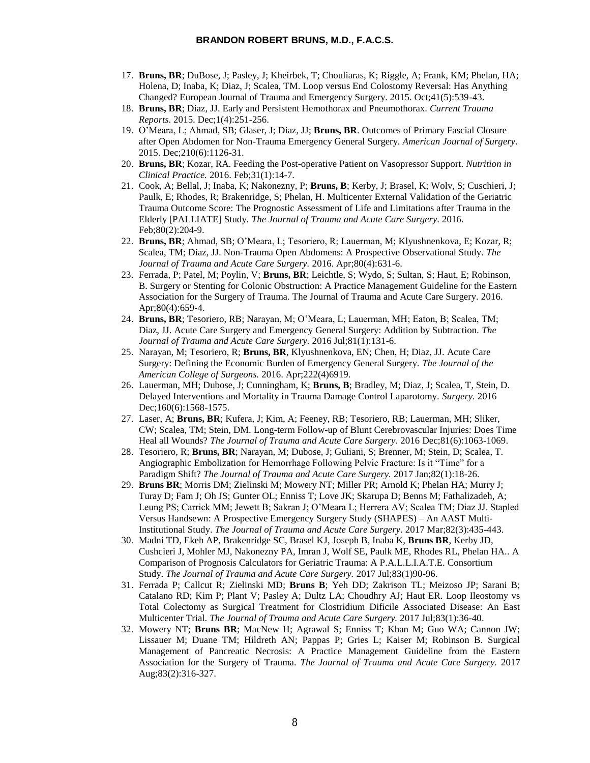- 17. **Bruns, BR**; DuBose, J; Pasley, J; Kheirbek, T; Chouliaras, K; Riggle, A; Frank, KM; Phelan, HA; Holena, D; Inaba, K; Diaz, J; Scalea, TM. Loop versus End Colostomy Reversal: Has Anything Changed? European Journal of Trauma and Emergency Surgery. 2015. Oct;41(5):539-43.
- 18. **Bruns, BR**; Diaz, JJ. Early and Persistent Hemothorax and Pneumothorax. *Current Trauma Reports*. 2015. Dec;1(4):251-256.
- 19. O'Meara, L; Ahmad, SB; Glaser, J; Diaz, JJ; **Bruns, BR**. Outcomes of Primary Fascial Closure after Open Abdomen for Non-Trauma Emergency General Surgery. *American Journal of Surgery*. 2015. Dec;210(6):1126-31.
- 20. **Bruns, BR**; Kozar, RA. Feeding the Post-operative Patient on Vasopressor Support. *Nutrition in Clinical Practice.* 2016. Feb;31(1):14-7.
- 21. Cook, A; Bellal, J; Inaba, K; Nakonezny, P; **Bruns, B**; Kerby, J; Brasel, K; Wolv, S; Cuschieri, J; Paulk, E; Rhodes, R; Brakenridge, S; Phelan, H. Multicenter External Validation of the Geriatric Trauma Outcome Score: The Prognostic Assessment of Life and Limitations after Trauma in the Elderly [PALLIATE] Study. *The Journal of Trauma and Acute Care Surgery*. 2016. Feb;80(2):204-9.
- 22. **Bruns, BR**; Ahmad, SB; O'Meara, L; Tesoriero, R; Lauerman, M; Klyushnenkova, E; Kozar, R; Scalea, TM; Diaz, JJ. Non-Trauma Open Abdomens: A Prospective Observational Study. *The Journal of Trauma and Acute Care Surgery.* 2016. Apr;80(4):631-6.
- 23. Ferrada, P; Patel, M; Poylin, V; **Bruns, BR**; Leichtle, S; Wydo, S; Sultan, S; Haut, E; Robinson, B. Surgery or Stenting for Colonic Obstruction: A Practice Management Guideline for the Eastern Association for the Surgery of Trauma. The Journal of Trauma and Acute Care Surgery. 2016. Apr;80(4):659-4.
- 24. **Bruns, BR**; Tesoriero, RB; Narayan, M; O'Meara, L; Lauerman, MH; Eaton, B; Scalea, TM; Diaz, JJ. Acute Care Surgery and Emergency General Surgery: Addition by Subtraction. *The Journal of Trauma and Acute Care Surgery.* 2016 Jul;81(1):131-6.
- 25. Narayan, M; Tesoriero, R; **Bruns, BR**, Klyushnenkova, EN; Chen, H; Diaz, JJ. Acute Care Surgery: Defining the Economic Burden of Emergency General Surgery. *The Journal of the American College of Surgeons.* 2016. Apr;222(4)6919.
- 26. Lauerman, MH; Dubose, J; Cunningham, K; **Bruns, B**; Bradley, M; Diaz, J; Scalea, T, Stein, D. Delayed Interventions and Mortality in Trauma Damage Control Laparotomy. *Surgery.* 2016 Dec;160(6):1568-1575.
- 27. Laser, A; **Bruns, BR**; Kufera, J; Kim, A; Feeney, RB; Tesoriero, RB; Lauerman, MH; Sliker, CW; Scalea, TM; Stein, DM. Long-term Follow-up of Blunt Cerebrovascular Injuries: Does Time Heal all Wounds? *The Journal of Trauma and Acute Care Surgery.* 2016 Dec;81(6):1063-1069.
- 28. Tesoriero, R; **Bruns, BR**; Narayan, M; Dubose, J; Guliani, S; Brenner, M; Stein, D; Scalea, T. Angiographic Embolization for Hemorrhage Following Pelvic Fracture: Is it "Time" for a Paradigm Shift? *The Journal of Trauma and Acute Care Surgery.* 2017 Jan;82(1):18-26.
- 29. **Bruns BR**; Morris DM; Zielinski M; Mowery NT; Miller PR; Arnold K; Phelan HA; Murry J; Turay D; Fam J; Oh JS; Gunter OL; Enniss T; Love JK; Skarupa D; Benns M; Fathalizadeh, A; Leung PS; Carrick MM; Jewett B; Sakran J; O'Meara L; Herrera AV; Scalea TM; Diaz JJ. Stapled Versus Handsewn: A Prospective Emergency Surgery Study (SHAPES) – An AAST Multi-Institutional Study. *The Journal of Trauma and Acute Care Surgery*. 2017 Mar;82(3):435-443.
- 30. Madni TD, Ekeh AP, Brakenridge SC, Brasel KJ, Joseph B, Inaba K, **Bruns BR**, Kerby JD, Cushcieri J, Mohler MJ, Nakonezny PA, Imran J, Wolf SE, Paulk ME, Rhodes RL, Phelan HA.. A Comparison of Prognosis Calculators for Geriatric Trauma: A P.A.L.L.I.A.T.E. Consortium Study. *The Journal of Trauma and Acute Care Surgery.* 2017 Jul;83(1)90-96.
- 31. Ferrada P; Callcut R; Zielinski MD; **Bruns B**; Yeh DD; Zakrison TL; Meizoso JP; Sarani B; Catalano RD; Kim P; Plant V; Pasley A; Dultz LA; Choudhry AJ; Haut ER. Loop Ileostomy vs Total Colectomy as Surgical Treatment for Clostridium Dificile Associated Disease: An East Multicenter Trial. *The Journal of Trauma and Acute Care Surgery.* 2017 Jul;83(1):36-40.
- 32. Mowery NT; **Bruns BR**; MacNew H; Agrawal S; Enniss T; Khan M; Guo WA; Cannon JW; Lissauer M; Duane TM; Hildreth AN; Pappas P; Gries L; Kaiser M; Robinson B. Surgical Management of Pancreatic Necrosis: A Practice Management Guideline from the Eastern Association for the Surgery of Trauma. *The Journal of Trauma and Acute Care Surgery.* 2017 Aug;83(2):316-327.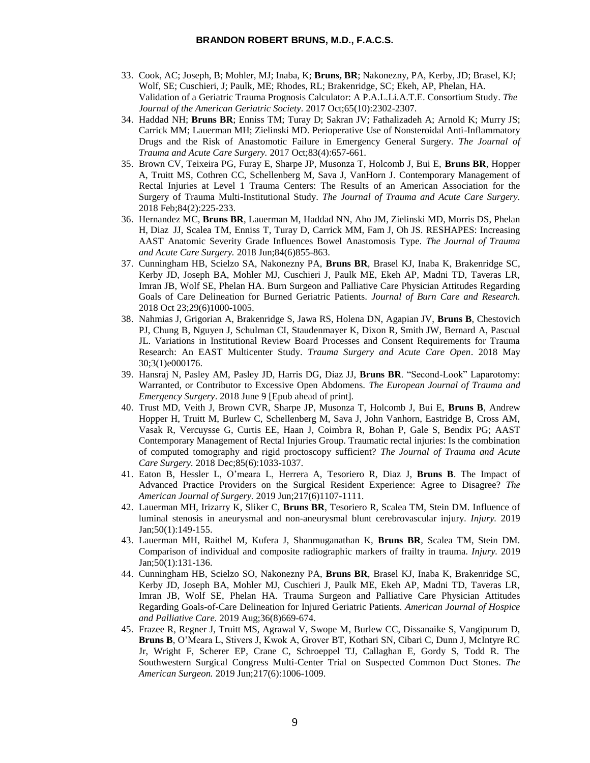- 33. Cook, AC; Joseph, B; Mohler, MJ; Inaba, K; **Bruns, BR**; Nakonezny, PA, Kerby, JD; Brasel, KJ; Wolf, SE; Cuschieri, J; Paulk, ME; Rhodes, RL; Brakenridge, SC; Ekeh, AP, Phelan, HA. Validation of a Geriatric Trauma Prognosis Calculator: A P.A.L.Li.A.T.E. Consortium Study. *The Journal of the American Geriatric Society.* 2017 Oct;65(10):2302-2307.
- 34. Haddad NH; **Bruns BR**; Enniss TM; Turay D; Sakran JV; Fathalizadeh A; Arnold K; Murry JS; Carrick MM; Lauerman MH; Zielinski MD. Perioperative Use of Nonsteroidal Anti-Inflammatory Drugs and the Risk of Anastomotic Failure in Emergency General Surgery. *The Journal of Trauma and Acute Care Surgery.* 2017 Oct;83(4):657-661.
- 35. Brown CV, Teixeira PG, Furay E, Sharpe JP, Musonza T, Holcomb J, Bui E, **Bruns BR**, Hopper A, Truitt MS, Cothren CC, Schellenberg M, Sava J, VanHorn J. Contemporary Management of Rectal Injuries at Level 1 Trauma Centers: The Results of an American Association for the Surgery of Trauma Multi-Institutional Study. *The Journal of Trauma and Acute Care Surgery.*  2018 Feb;84(2):225-233.
- 36. Hernandez MC, **Bruns BR**, Lauerman M, Haddad NN, Aho JM, Zielinski MD, Morris DS, Phelan H, Diaz JJ, Scalea TM, Enniss T, Turay D, Carrick MM, Fam J, Oh JS. RESHAPES: Increasing AAST Anatomic Severity Grade Influences Bowel Anastomosis Type. *The Journal of Trauma and Acute Care Surgery.* 2018 Jun;84(6)855-863.
- 37. Cunningham HB, Scielzo SA, Nakonezny PA, **Bruns BR**, Brasel KJ, Inaba K, Brakenridge SC, Kerby JD, Joseph BA, Mohler MJ, Cuschieri J, Paulk ME, Ekeh AP, Madni TD, Taveras LR, Imran JB, Wolf SE, Phelan HA. Burn Surgeon and Palliative Care Physician Attitudes Regarding Goals of Care Delineation for Burned Geriatric Patients. *Journal of Burn Care and Research.*  2018 Oct 23;29(6)1000-1005.
- 38. Nahmias J, Grigorian A, Brakenridge S, Jawa RS, Holena DN, Agapian JV, **Bruns B**, Chestovich PJ, Chung B, Nguyen J, Schulman CI, Staudenmayer K, Dixon R, Smith JW, Bernard A, Pascual JL. Variations in Institutional Review Board Processes and Consent Requirements for Trauma Research: An EAST Multicenter Study. *Trauma Surgery and Acute Care Open*. 2018 May 30;3(1)e000176.
- 39. Hansraj N, Pasley AM, Pasley JD, Harris DG, Diaz JJ, **Bruns BR**. "Second-Look" Laparotomy: Warranted, or Contributor to Excessive Open Abdomens. *The European Journal of Trauma and Emergency Surgery*. 2018 June 9 [Epub ahead of print].
- 40. Trust MD, Veith J, Brown CVR, Sharpe JP, Musonza T, Holcomb J, Bui E, **Bruns B**, Andrew Hopper H, Truitt M, Burlew C, Schellenberg M, Sava J, John Vanhorn, Eastridge B, Cross AM, Vasak R, Vercuysse G, Curtis EE, Haan J, Coimbra R, Bohan P, Gale S, Bendix PG; AAST Contemporary Management of Rectal Injuries Group. Traumatic rectal injuries: Is the combination of computed tomography and rigid proctoscopy sufficient? *The Journal of Trauma and Acute Care Surgery.* 2018 Dec;85(6):1033-1037.
- 41. Eaton B, Hessler L, O'meara L, Herrera A, Tesoriero R, Diaz J, **Bruns B**. The Impact of Advanced Practice Providers on the Surgical Resident Experience: Agree to Disagree? *The American Journal of Surgery.* 2019 Jun;217(6)1107-1111.
- 42. Lauerman MH, Irizarry K, Sliker C, **Bruns BR**, Tesoriero R, Scalea TM, Stein DM. Influence of luminal stenosis in aneurysmal and non-aneurysmal blunt cerebrovascular injury. *Injury.* 2019 Jan;50(1):149-155.
- 43. Lauerman MH, Raithel M, Kufera J, Shanmuganathan K, **Bruns BR**, Scalea TM, Stein DM. Comparison of individual and composite radiographic markers of frailty in trauma. *Injury.* 2019 Jan;50(1):131-136.
- 44. Cunningham HB, Scielzo SO, Nakonezny PA, **Bruns BR**, Brasel KJ, Inaba K, Brakenridge SC, Kerby JD, Joseph BA, Mohler MJ, Cuschieri J, Paulk ME, Ekeh AP, Madni TD, Taveras LR, Imran JB, Wolf SE, Phelan HA. Trauma Surgeon and Palliative Care Physician Attitudes Regarding Goals-of-Care Delineation for Injured Geriatric Patients. *American Journal of Hospice and Palliative Care.* 2019 Aug;36(8)669-674.
- 45. Frazee R, Regner J, Truitt MS, Agrawal V, Swope M, Burlew CC, Dissanaike S, Vangipurum D, **Bruns B**, O'Meara L, Stivers J, Kwok A, Grover BT, Kothari SN, Cibari C, Dunn J, McIntyre RC Jr, Wright F, Scherer EP, Crane C, Schroeppel TJ, Callaghan E, Gordy S, Todd R. The Southwestern Surgical Congress Multi-Center Trial on Suspected Common Duct Stones. *The American Surgeon.* 2019 Jun;217(6):1006-1009.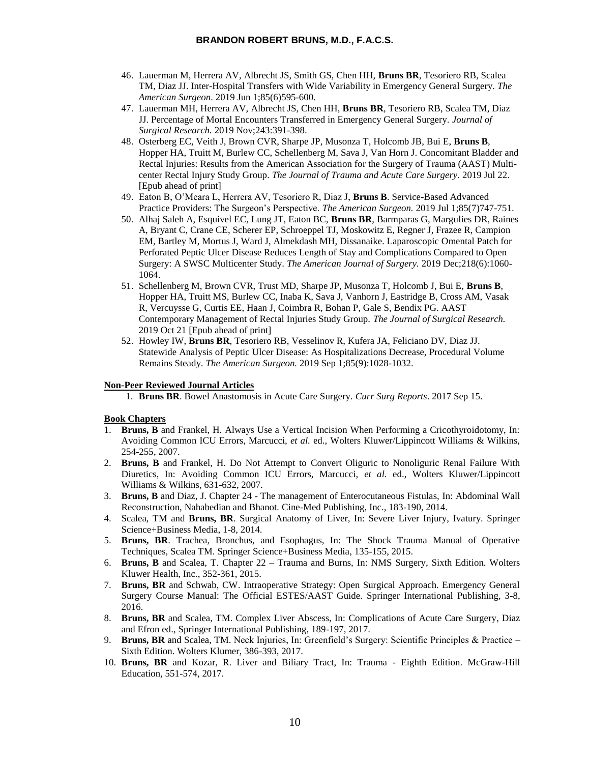- 46. Lauerman M, Herrera AV, Albrecht JS, Smith GS, Chen HH, **Bruns BR**, Tesoriero RB, Scalea TM, Diaz JJ. Inter-Hospital Transfers with Wide Variability in Emergency General Surgery. *The American Surgeon*. 2019 Jun 1;85(6)595-600.
- 47. Lauerman MH, Herrera AV, Albrecht JS, Chen HH, **Bruns BR**, Tesoriero RB, Scalea TM, Diaz JJ. Percentage of Mortal Encounters Transferred in Emergency General Surgery. *Journal of Surgical Research.* 2019 Nov;243:391-398.
- 48. Osterberg EC, Veith J, Brown CVR, Sharpe JP, Musonza T, Holcomb JB, Bui E, **Bruns B**, Hopper HA, Truitt M, Burlew CC, Schellenberg M, Sava J, Van Horn J. Concomitant Bladder and Rectal Injuries: Results from the American Association for the Surgery of Trauma (AAST) Multicenter Rectal Injury Study Group. *The Journal of Trauma and Acute Care Surgery.* 2019 Jul 22. [Epub ahead of print]
- 49. Eaton B, O'Meara L, Herrera AV, Tesoriero R, Diaz J, **Bruns B**. Service-Based Advanced Practice Providers: The Surgeon's Perspective. *The American Surgeon.* 2019 Jul 1;85(7)747-751.
- 50. Alhaj Saleh A, Esquivel EC, Lung JT, Eaton BC, **Bruns BR**, Barmparas G, Margulies DR, Raines A, Bryant C, Crane CE, Scherer EP, Schroeppel TJ, Moskowitz E, Regner J, Frazee R, Campion EM, Bartley M, Mortus J, Ward J, Almekdash MH, Dissanaike. Laparoscopic Omental Patch for Perforated Peptic Ulcer Disease Reduces Length of Stay and Complications Compared to Open Surgery: A SWSC Multicenter Study. *The American Journal of Surgery.* 2019 Dec;218(6):1060- 1064.
- 51. Schellenberg M, Brown CVR, Trust MD, Sharpe JP, Musonza T, Holcomb J, Bui E, **Bruns B**, Hopper HA, Truitt MS, Burlew CC, Inaba K, Sava J, Vanhorn J, Eastridge B, Cross AM, Vasak R, Vercuysse G, Curtis EE, Haan J, Coimbra R, Bohan P, Gale S, Bendix PG. AAST Contemporary Management of Rectal Injuries Study Group. *The Journal of Surgical Research.*  2019 Oct 21 [Epub ahead of print]
- 52. Howley IW, **Bruns BR**, Tesoriero RB, Vesselinov R, Kufera JA, Feliciano DV, Diaz JJ. Statewide Analysis of Peptic Ulcer Disease: As Hospitalizations Decrease, Procedural Volume Remains Steady. *The American Surgeon.* 2019 Sep 1;85(9):1028-1032.

## **Non-Peer Reviewed Journal Articles**

1. **Bruns BR**. Bowel Anastomosis in Acute Care Surgery. *Curr Surg Reports*. 2017 Sep 15.

# **Book Chapters**

- **Bruns, B** and Frankel, H. Always Use a Vertical Incision When Performing a Cricothyroidotomy, In: Avoiding Common ICU Errors, Marcucci, *et al.* ed., Wolters Kluwer/Lippincott Williams & Wilkins, 254-255, 2007.
- 2. **Bruns, B** and Frankel, H. Do Not Attempt to Convert Oliguric to Nonoliguric Renal Failure With Diuretics, In: Avoiding Common ICU Errors, Marcucci, *et al.* ed., Wolters Kluwer/Lippincott Williams & Wilkins, 631-632, 2007.
- 3. **Bruns, B** and Diaz, J. Chapter 24 The management of Enterocutaneous Fistulas, In: Abdominal Wall Reconstruction, Nahabedian and Bhanot*.* Cine-Med Publishing, Inc., 183-190, 2014.
- 4. Scalea, TM and **Bruns, BR**. Surgical Anatomy of Liver, In: Severe Liver Injury, Ivatury. Springer Science+Business Media, 1-8, 2014.
- 5. **Bruns, BR**. Trachea, Bronchus, and Esophagus, In: The Shock Trauma Manual of Operative Techniques, Scalea TM. Springer Science+Business Media, 135-155, 2015.
- 6. **Bruns, B** and Scalea, T. Chapter 22 Trauma and Burns, In: NMS Surgery, Sixth Edition. Wolters Kluwer Health, Inc., 352-361, 2015.
- 7. **Bruns, BR** and Schwab, CW. Intraoperative Strategy: Open Surgical Approach. Emergency General Surgery Course Manual: The Official ESTES/AAST Guide. Springer International Publishing, 3-8, 2016.
- 8. **Bruns, BR** and Scalea, TM. Complex Liver Abscess, In: Complications of Acute Care Surgery, Diaz and Efron ed., Springer International Publishing, 189-197, 2017.
- 9. **Bruns, BR** and Scalea, TM. Neck Injuries, In: Greenfield's Surgery: Scientific Principles & Practice Sixth Edition. Wolters Klumer, 386-393, 2017.
- 10. **Bruns, BR** and Kozar, R. Liver and Biliary Tract, In: Trauma Eighth Edition. McGraw-Hill Education, 551-574, 2017.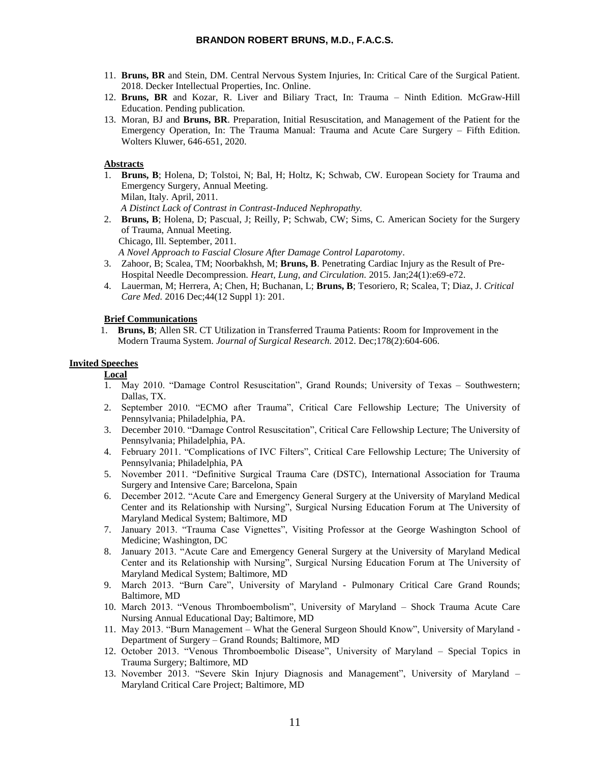- 11. **Bruns, BR** and Stein, DM. Central Nervous System Injuries, In: Critical Care of the Surgical Patient. 2018. Decker Intellectual Properties, Inc. Online.
- 12. **Bruns, BR** and Kozar, R. Liver and Biliary Tract, In: Trauma Ninth Edition. McGraw-Hill Education. Pending publication.
- 13. Moran, BJ and **Bruns, BR**. Preparation, Initial Resuscitation, and Management of the Patient for the Emergency Operation, In: The Trauma Manual: Trauma and Acute Care Surgery – Fifth Edition. Wolters Kluwer, 646-651, 2020.

## **Abstracts**

1. **Bruns, B**; Holena, D; Tolstoi, N; Bal, H; Holtz, K; Schwab, CW. European Society for Trauma and Emergency Surgery, Annual Meeting. Milan, Italy. April, 2011.

 *A Distinct Lack of Contrast in Contrast-Induced Nephropathy.*

2. **Bruns, B**; Holena, D; Pascual, J; Reilly, P; Schwab, CW; Sims, C. American Society for the Surgery of Trauma, Annual Meeting. Chicago, Ill. September, 2011.

 *A Novel Approach to Fascial Closure After Damage Control Laparotomy*.

- 3. Zahoor, B; Scalea, TM; Noorbakhsh, M; **Bruns, B**. Penetrating Cardiac Injury as the Result of Pre-Hospital Needle Decompression. *Heart, Lung, and Circulation.* 2015. Jan;24(1):e69-e72.
- 4. Lauerman, M; Herrera, A; Chen, H; Buchanan, L; **Bruns, B**; Tesoriero, R; Scalea, T; Diaz, J. *Critical Care Med.* 2016 Dec;44(12 Suppl 1): 201.

# **Brief Communications**

1. **Bruns, B**; Allen SR. CT Utilization in Transferred Trauma Patients: Room for Improvement in the Modern Trauma System. *Journal of Surgical Research.* 2012. Dec;178(2):604-606.

# **Invited Speeches**

**Local**

- 1. May 2010. "Damage Control Resuscitation", Grand Rounds; University of Texas Southwestern; Dallas, TX.
- 2. September 2010. "ECMO after Trauma", Critical Care Fellowship Lecture; The University of Pennsylvania; Philadelphia, PA.
- 3. December 2010. "Damage Control Resuscitation", Critical Care Fellowship Lecture; The University of Pennsylvania; Philadelphia, PA.
- 4. February 2011. "Complications of IVC Filters", Critical Care Fellowship Lecture; The University of Pennsylvania; Philadelphia, PA
- 5. November 2011. "Definitive Surgical Trauma Care (DSTC), International Association for Trauma Surgery and Intensive Care; Barcelona, Spain
- 6. December 2012. "Acute Care and Emergency General Surgery at the University of Maryland Medical Center and its Relationship with Nursing", Surgical Nursing Education Forum at The University of Maryland Medical System; Baltimore, MD
- 7. January 2013. "Trauma Case Vignettes", Visiting Professor at the George Washington School of Medicine; Washington, DC
- 8. January 2013. "Acute Care and Emergency General Surgery at the University of Maryland Medical Center and its Relationship with Nursing", Surgical Nursing Education Forum at The University of Maryland Medical System; Baltimore, MD
- 9. March 2013. "Burn Care", University of Maryland Pulmonary Critical Care Grand Rounds; Baltimore, MD
- 10. March 2013. "Venous Thromboembolism", University of Maryland Shock Trauma Acute Care Nursing Annual Educational Day; Baltimore, MD
- 11. May 2013. "Burn Management What the General Surgeon Should Know", University of Maryland Department of Surgery – Grand Rounds; Baltimore, MD
- 12. October 2013. "Venous Thromboembolic Disease", University of Maryland Special Topics in Trauma Surgery; Baltimore, MD
- 13. November 2013. "Severe Skin Injury Diagnosis and Management", University of Maryland Maryland Critical Care Project; Baltimore, MD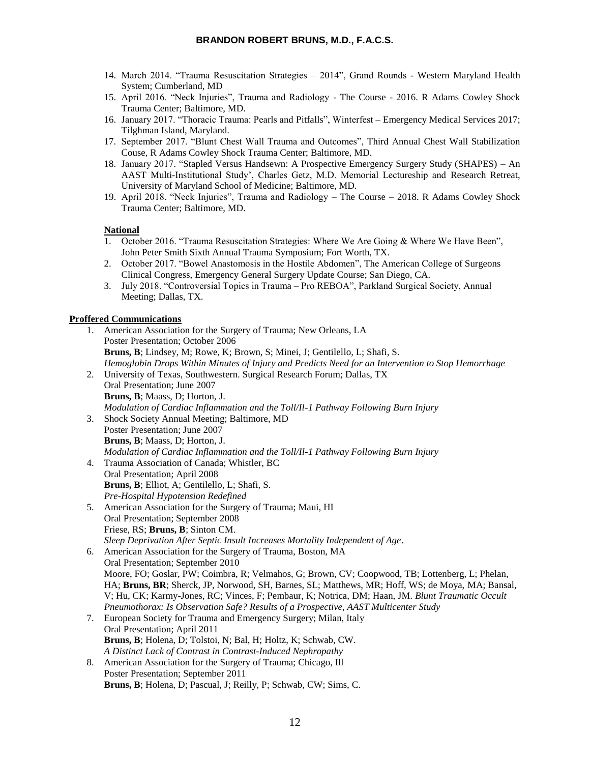- 14. March 2014. "Trauma Resuscitation Strategies 2014", Grand Rounds Western Maryland Health System; Cumberland, MD
- 15. April 2016. "Neck Injuries", Trauma and Radiology The Course 2016. R Adams Cowley Shock Trauma Center; Baltimore, MD.
- 16. January 2017. "Thoracic Trauma: Pearls and Pitfalls", Winterfest Emergency Medical Services 2017; Tilghman Island, Maryland.
- 17. September 2017. "Blunt Chest Wall Trauma and Outcomes", Third Annual Chest Wall Stabilization Couse, R Adams Cowley Shock Trauma Center; Baltimore, MD.
- 18. January 2017. "Stapled Versus Handsewn: A Prospective Emergency Surgery Study (SHAPES) An AAST Multi-Institutional Study', Charles Getz, M.D. Memorial Lectureship and Research Retreat, University of Maryland School of Medicine; Baltimore, MD.
- 19. April 2018. "Neck Injuries", Trauma and Radiology The Course 2018. R Adams Cowley Shock Trauma Center; Baltimore, MD.

# **National**

- 1. October 2016. "Trauma Resuscitation Strategies: Where We Are Going & Where We Have Been", John Peter Smith Sixth Annual Trauma Symposium; Fort Worth, TX.
- 2. October 2017. "Bowel Anastomosis in the Hostile Abdomen", The American College of Surgeons Clinical Congress, Emergency General Surgery Update Course; San Diego, CA.
- 3. July 2018. "Controversial Topics in Trauma Pro REBOA", Parkland Surgical Society, Annual Meeting; Dallas, TX.

# **Proffered Communications**

1. American Association for the Surgery of Trauma; New Orleans, LA Poster Presentation; October 2006 **Bruns, B**; Lindsey, M; Rowe, K; Brown, S; Minei, J; Gentilello, L; Shafi, S. *Hemoglobin Drops Within Minutes of Injury and Predicts Need for an Intervention to Stop Hemorrhage* 2. University of Texas, Southwestern. Surgical Research Forum; Dallas, TX Oral Presentation; June 2007 **Bruns, B**; Maass, D; Horton, J. *Modulation of Cardiac Inflammation and the Toll/Il-1 Pathway Following Burn Injury* 3. Shock Society Annual Meeting; Baltimore, MD Poster Presentation; June 2007 **Bruns, B**; Maass, D; Horton, J. *Modulation of Cardiac Inflammation and the Toll/Il-1 Pathway Following Burn Injury* 4. Trauma Association of Canada; Whistler, BC Oral Presentation; April 2008 **Bruns, B**; Elliot, A; Gentilello, L; Shafi, S. *Pre-Hospital Hypotension Redefined* 5. American Association for the Surgery of Trauma; Maui, HI Oral Presentation; September 2008 Friese, RS; **Bruns, B**; Sinton CM. *Sleep Deprivation After Septic Insult Increases Mortality Independent of Age*. 6. American Association for the Surgery of Trauma, Boston, MA Oral Presentation; September 2010 Moore, FO; Goslar, PW; Coimbra, R; Velmahos, G; Brown, CV; Coopwood, TB; Lottenberg, L; Phelan, HA; **Bruns, BR**; Sherck, JP, Norwood, SH, Barnes, SL; Matthews, MR; Hoff, WS; de Moya, MA; Bansal, V; Hu, CK; Karmy-Jones, RC; Vinces, F; Pembaur, K; Notrica, DM; Haan, JM. *Blunt Traumatic Occult Pneumothorax: Is Observation Safe? Results of a Prospective, AAST Multicenter Study* 7. European Society for Trauma and Emergency Surgery; Milan, Italy Oral Presentation; April 2011 **Bruns, B**; Holena, D; Tolstoi, N; Bal, H; Holtz, K; Schwab, CW. *A Distinct Lack of Contrast in Contrast-Induced Nephropathy* 8. American Association for the Surgery of Trauma; Chicago, Ill Poster Presentation; September 2011

**Bruns, B**; Holena, D; Pascual, J; Reilly, P; Schwab, CW; Sims, C.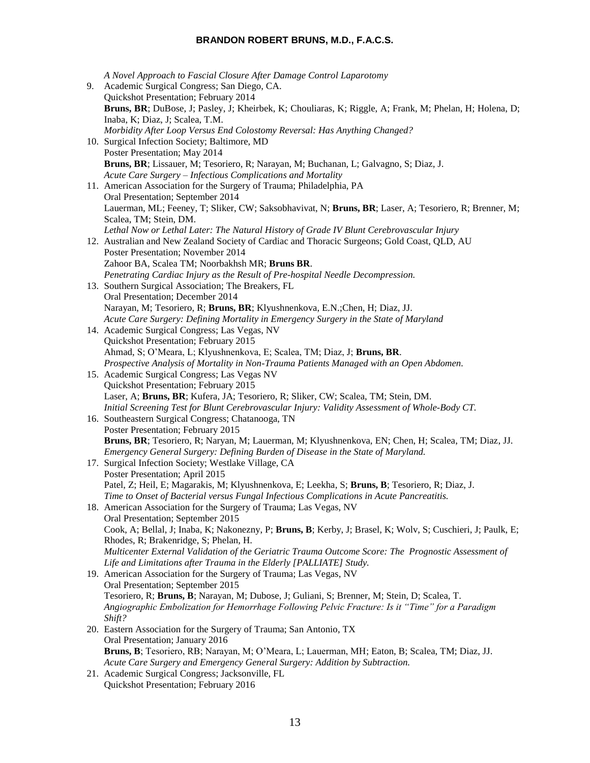*A Novel Approach to Fascial Closure After Damage Control Laparotomy* 9. Academic Surgical Congress; San Diego, CA. Quickshot Presentation; February 2014 **Bruns, BR**; DuBose, J; Pasley, J; Kheirbek, K; Chouliaras, K; Riggle, A; Frank, M; Phelan, H; Holena, D; Inaba, K; Diaz, J; Scalea, T.M. *Morbidity After Loop Versus End Colostomy Reversal: Has Anything Changed?* 10. Surgical Infection Society; Baltimore, MD Poster Presentation; May 2014 **Bruns, BR**; Lissauer, M; Tesoriero, R; Narayan, M; Buchanan, L; Galvagno, S; Diaz, J. *Acute Care Surgery – Infectious Complications and Mortality* 11. American Association for the Surgery of Trauma; Philadelphia, PA Oral Presentation; September 2014 Lauerman, ML; Feeney, T; Sliker, CW; Saksobhavivat, N; **Bruns, BR**; Laser, A; Tesoriero, R; Brenner, M; Scalea, TM; Stein, DM. *Lethal Now or Lethal Later: The Natural History of Grade IV Blunt Cerebrovascular Injury* 12. Australian and New Zealand Society of Cardiac and Thoracic Surgeons; Gold Coast, QLD, AU Poster Presentation; November 2014 Zahoor BA, Scalea TM; Noorbakhsh MR; **Bruns BR**. *Penetrating Cardiac Injury as the Result of Pre-hospital Needle Decompression.* 13. Southern Surgical Association; The Breakers, FL Oral Presentation; December 2014 Narayan, M; Tesoriero, R; **Bruns, BR**; Klyushnenkova, E.N.;Chen, H; Diaz, JJ. *Acute Care Surgery: Defining Mortality in Emergency Surgery in the State of Maryland* 14. Academic Surgical Congress; Las Vegas, NV Quickshot Presentation; February 2015 Ahmad, S; O'Meara, L; Klyushnenkova, E; Scalea, TM; Diaz, J; **Bruns, BR**. *Prospective Analysis of Mortality in Non-Trauma Patients Managed with an Open Abdomen.* 15. Academic Surgical Congress; Las Vegas NV Quickshot Presentation; February 2015 Laser, A; **Bruns, BR**; Kufera, JA; Tesoriero, R; Sliker, CW; Scalea, TM; Stein, DM. *Initial Screening Test for Blunt Cerebrovascular Injury: Validity Assessment of Whole-Body CT.* 16. Southeastern Surgical Congress; Chatanooga, TN Poster Presentation; February 2015 **Bruns, BR**; Tesoriero, R; Naryan, M; Lauerman, M; Klyushnenkova, EN; Chen, H; Scalea, TM; Diaz, JJ. *Emergency General Surgery: Defining Burden of Disease in the State of Maryland.* 17. Surgical Infection Society; Westlake Village, CA Poster Presentation; April 2015 Patel, Z; Heil, E; Magarakis, M; Klyushnenkova, E; Leekha, S; **Bruns, B**; Tesoriero, R; Diaz, J. *Time to Onset of Bacterial versus Fungal Infectious Complications in Acute Pancreatitis.* 18. American Association for the Surgery of Trauma; Las Vegas, NV Oral Presentation; September 2015 Cook, A; Bellal, J; Inaba, K; Nakonezny, P; **Bruns, B**; Kerby, J; Brasel, K; Wolv, S; Cuschieri, J; Paulk, E; Rhodes, R; Brakenridge, S; Phelan, H. *Multicenter External Validation of the Geriatric Trauma Outcome Score: The Prognostic Assessment of Life and Limitations after Trauma in the Elderly [PALLIATE] Study.* 19. American Association for the Surgery of Trauma; Las Vegas, NV Oral Presentation; September 2015 Tesoriero, R; **Bruns, B**; Narayan, M; Dubose, J; Guliani, S; Brenner, M; Stein, D; Scalea, T. *Angiographic Embolization for Hemorrhage Following Pelvic Fracture: Is it "Time" for a Paradigm Shift?* 20. Eastern Association for the Surgery of Trauma; San Antonio, TX Oral Presentation; January 2016 **Bruns, B**; Tesoriero, RB; Narayan, M; O'Meara, L; Lauerman, MH; Eaton, B; Scalea, TM; Diaz, JJ. *Acute Care Surgery and Emergency General Surgery: Addition by Subtraction.* 21. Academic Surgical Congress; Jacksonville, FL

Quickshot Presentation; February 2016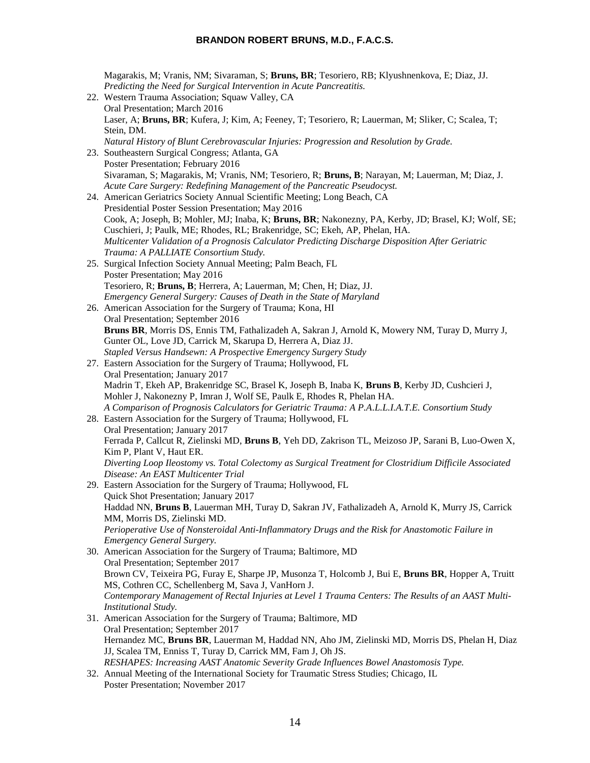Magarakis, M; Vranis, NM; Sivaraman, S; **Bruns, BR**; Tesoriero, RB; Klyushnenkova, E; Diaz, JJ. *Predicting the Need for Surgical Intervention in Acute Pancreatitis.* 22. Western Trauma Association; Squaw Valley, CA Oral Presentation; March 2016 Laser, A; **Bruns, BR**; Kufera, J; Kim, A; Feeney, T; Tesoriero, R; Lauerman, M; Sliker, C; Scalea, T; Stein, DM. *Natural History of Blunt Cerebrovascular Injuries: Progression and Resolution by Grade.* 23. Southeastern Surgical Congress; Atlanta, GA Poster Presentation; February 2016 Sivaraman, S; Magarakis, M; Vranis, NM; Tesoriero, R; **Bruns, B**; Narayan, M; Lauerman, M; Diaz, J. *Acute Care Surgery: Redefining Management of the Pancreatic Pseudocyst.* 24. American Geriatrics Society Annual Scientific Meeting; Long Beach, CA Presidential Poster Session Presentation; May 2016 Cook, A; Joseph, B; Mohler, MJ; Inaba, K; **Bruns, BR**; Nakonezny, PA, Kerby, JD; Brasel, KJ; Wolf, SE; Cuschieri, J; Paulk, ME; Rhodes, RL; Brakenridge, SC; Ekeh, AP, Phelan, HA. *Multicenter Validation of a Prognosis Calculator Predicting Discharge Disposition After Geriatric Trauma: A PALLIATE Consortium Study.* 25. Surgical Infection Society Annual Meeting; Palm Beach, FL Poster Presentation; May 2016 Tesoriero, R; **Bruns, B**; Herrera, A; Lauerman, M; Chen, H; Diaz, JJ. *Emergency General Surgery: Causes of Death in the State of Maryland* 26. American Association for the Surgery of Trauma; Kona, HI Oral Presentation; September 2016 **Bruns BR**, Morris DS, Ennis TM, Fathalizadeh A, Sakran J, Arnold K, Mowery NM, Turay D, Murry J, Gunter OL, Love JD, Carrick M, Skarupa D, Herrera A, Diaz JJ. *Stapled Versus Handsewn: A Prospective Emergency Surgery Study* 27. Eastern Association for the Surgery of Trauma; Hollywood, FL Oral Presentation; January 2017 Madrin T, Ekeh AP, Brakenridge SC, Brasel K, Joseph B, Inaba K, **Bruns B**, Kerby JD, Cushcieri J, Mohler J, Nakonezny P, Imran J, Wolf SE, Paulk E, Rhodes R, Phelan HA. *A Comparison of Prognosis Calculators for Geriatric Trauma: A P.A.L.L.I.A.T.E. Consortium Study* 28. Eastern Association for the Surgery of Trauma; Hollywood, FL Oral Presentation; January 2017 Ferrada P, Callcut R, Zielinski MD, **Bruns B**, Yeh DD, Zakrison TL, Meizoso JP, Sarani B, Luo-Owen X, Kim P, Plant V, Haut ER. *Diverting Loop Ileostomy vs. Total Colectomy as Surgical Treatment for Clostridium Difficile Associated Disease: An EAST Multicenter Trial* 29. Eastern Association for the Surgery of Trauma; Hollywood, FL Quick Shot Presentation; January 2017 Haddad NN, **Bruns B**, Lauerman MH, Turay D, Sakran JV, Fathalizadeh A, Arnold K, Murry JS, Carrick MM, Morris DS, Zielinski MD. *Perioperative Use of Nonsteroidal Anti-Inflammatory Drugs and the Risk for Anastomotic Failure in Emergency General Surgery.* 30. American Association for the Surgery of Trauma; Baltimore, MD Oral Presentation; September 2017 Brown CV, Teixeira PG, Furay E, Sharpe JP, Musonza T, Holcomb J, Bui E, **Bruns BR**, Hopper A, Truitt MS, Cothren CC, Schellenberg M, Sava J, VanHorn J. *Contemporary Management of Rectal Injuries at Level 1 Trauma Centers: The Results of an AAST Multi-Institutional Study.* 31. American Association for the Surgery of Trauma; Baltimore, MD Oral Presentation; September 2017 Hernandez MC, **Bruns BR**, Lauerman M, Haddad NN, Aho JM, Zielinski MD, Morris DS, Phelan H, Diaz JJ, Scalea TM, Enniss T, Turay D, Carrick MM, Fam J, Oh JS. *RESHAPES: Increasing AAST Anatomic Severity Grade Influences Bowel Anastomosis Type.*

32. Annual Meeting of the International Society for Traumatic Stress Studies; Chicago, IL Poster Presentation; November 2017